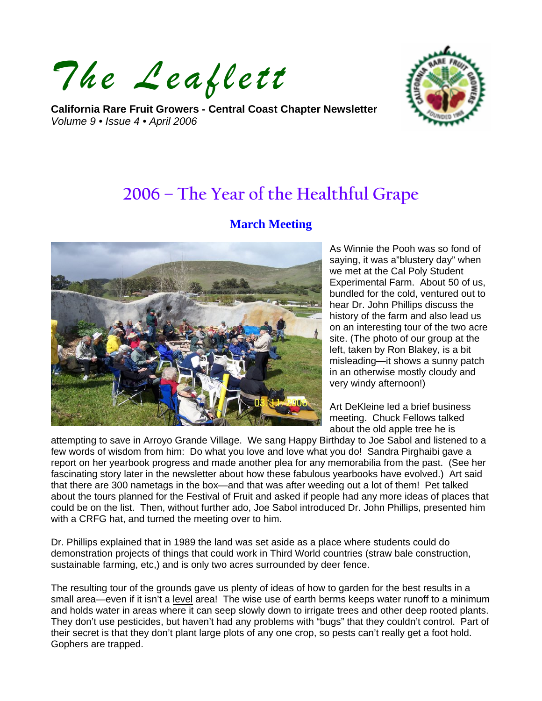*The Leaflett*

**California Rare Fruit Growers - Central Coast Chapter Newsletter**  *Volume 9 • Issue 4 • April 2006* 



# **2006 – The Year of the Healthful Grape**

## **March Meeting**



As Winnie the Pooh was so fond of saying, it was a"blustery day" when we met at the Cal Poly Student Experimental Farm. About 50 of us, bundled for the cold, ventured out to hear Dr. John Phillips discuss the history of the farm and also lead us on an interesting tour of the two acre site. (The photo of our group at the left, taken by Ron Blakey, is a bit misleading—it shows a sunny patch in an otherwise mostly cloudy and very windy afternoon!)

Art DeKleine led a brief business meeting. Chuck Fellows talked about the old apple tree he is

attempting to save in Arroyo Grande Village. We sang Happy Birthday to Joe Sabol and listened to a few words of wisdom from him: Do what you love and love what you do! Sandra Pirghaibi gave a report on her yearbook progress and made another plea for any memorabilia from the past. (See her fascinating story later in the newsletter about how these fabulous yearbooks have evolved.) Art said that there are 300 nametags in the box—and that was after weeding out a lot of them! Pet talked about the tours planned for the Festival of Fruit and asked if people had any more ideas of places that could be on the list. Then, without further ado, Joe Sabol introduced Dr. John Phillips, presented him with a CRFG hat, and turned the meeting over to him.

Dr. Phillips explained that in 1989 the land was set aside as a place where students could do demonstration projects of things that could work in Third World countries (straw bale construction, sustainable farming, etc,) and is only two acres surrounded by deer fence.

The resulting tour of the grounds gave us plenty of ideas of how to garden for the best results in a small area—even if it isn't a level area! The wise use of earth berms keeps water runoff to a minimum and holds water in areas where it can seep slowly down to irrigate trees and other deep rooted plants. They don't use pesticides, but haven't had any problems with "bugs" that they couldn't control. Part of their secret is that they don't plant large plots of any one crop, so pests can't really get a foot hold. Gophers are trapped.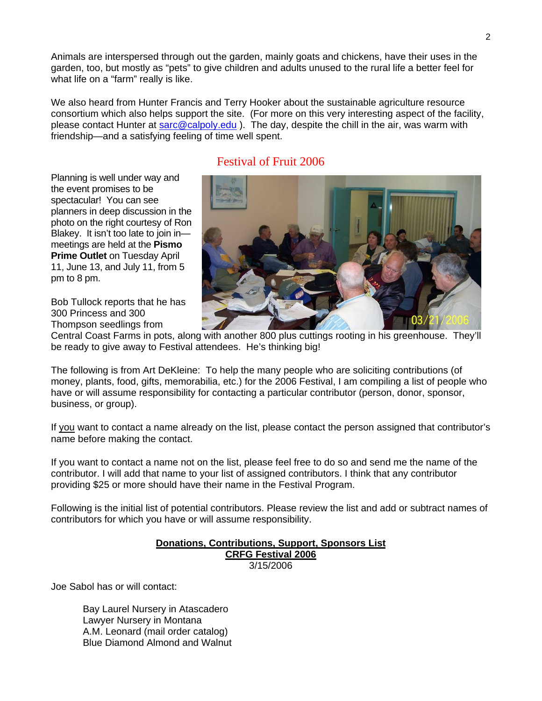Animals are interspersed through out the garden, mainly goats and chickens, have their uses in the garden, too, but mostly as "pets" to give children and adults unused to the rural life a better feel for what life on a "farm" really is like.

We also heard from Hunter Francis and Terry Hooker about the sustainable agriculture resource consortium which also helps support the site. (For more on this very interesting aspect of the facility, please contact Hunter at [sarc@calpoly.edu](mailto:sarc@calpoly.edu) ). The day, despite the chill in the air, was warm with friendship—and a satisfying feeling of time well spent.

# Festival of Fruit 2006

Planning is well under way and the event promises to be spectacular! You can see planners in deep discussion in the photo on the right courtesy of Ron Blakey. It isn't too late to join in meetings are held at the **Pismo Prime Outlet on Tuesday April** 11, June 13, and July 11, from 5 pm to 8 pm.

Bob Tullock reports that he has 300 Princess and 300 Thompson seedlings from



Central Coast Farms in pots, along with another 800 plus cuttings rooting in his greenhouse. They'll be ready to give away to Festival attendees. He's thinking big!

The following is from Art DeKleine: To help the many people who are soliciting contributions (of money, plants, food, gifts, memorabilia, etc.) for the 2006 Festival, I am compiling a list of people who have or will assume responsibility for contacting a particular contributor (person, donor, sponsor, business, or group).

If you want to contact a name already on the list, please contact the person assigned that contributor's name before making the contact.

If you want to contact a name not on the list, please feel free to do so and send me the name of the contributor. I will add that name to your list of assigned contributors. I think that any contributor providing \$25 or more should have their name in the Festival Program.

Following is the initial list of potential contributors. Please review the list and add or subtract names of contributors for which you have or will assume responsibility.

#### **Donations, Contributions, Support, Sponsors List CRFG Festival 2006** 3/15/2006

Joe Sabol has or will contact:

 Bay Laurel Nursery in Atascadero Lawyer Nursery in Montana A.M. Leonard (mail order catalog) Blue Diamond Almond and Walnut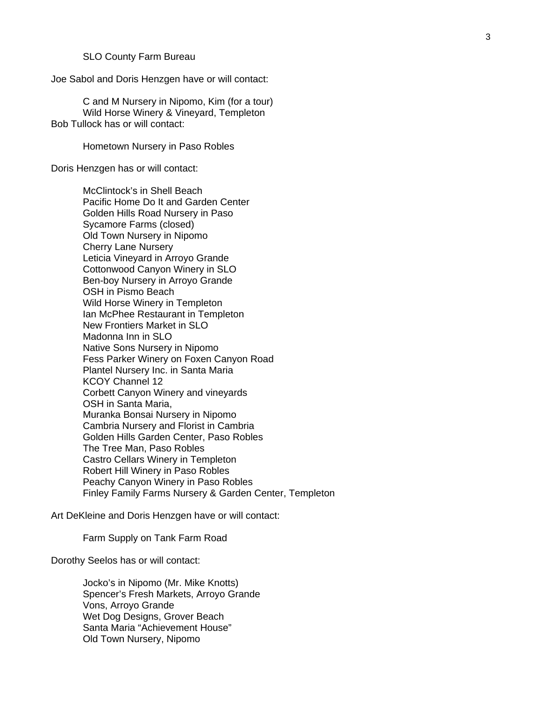SLO County Farm Bureau

Joe Sabol and Doris Henzgen have or will contact:

 C and M Nursery in Nipomo, Kim (for a tour) Wild Horse Winery & Vineyard, Templeton Bob Tullock has or will contact:

Hometown Nursery in Paso Robles

Doris Henzgen has or will contact:

 McClintock's in Shell Beach Pacific Home Do It and Garden Center Golden Hills Road Nursery in Paso Sycamore Farms (closed) Old Town Nursery in Nipomo Cherry Lane Nursery Leticia Vineyard in Arroyo Grande Cottonwood Canyon Winery in SLO Ben-boy Nursery in Arroyo Grande OSH in Pismo Beach Wild Horse Winery in Templeton Ian McPhee Restaurant in Templeton New Frontiers Market in SLO Madonna Inn in SLO Native Sons Nursery in Nipomo Fess Parker Winery on Foxen Canyon Road Plantel Nursery Inc. in Santa Maria KCOY Channel 12 Corbett Canyon Winery and vineyards OSH in Santa Maria, Muranka Bonsai Nursery in Nipomo Cambria Nursery and Florist in Cambria Golden Hills Garden Center, Paso Robles The Tree Man, Paso Robles Castro Cellars Winery in Templeton Robert Hill Winery in Paso Robles Peachy Canyon Winery in Paso Robles Finley Family Farms Nursery & Garden Center, Templeton

Art DeKleine and Doris Henzgen have or will contact:

Farm Supply on Tank Farm Road

Dorothy Seelos has or will contact:

 Jocko's in Nipomo (Mr. Mike Knotts) Spencer's Fresh Markets, Arroyo Grande Vons, Arroyo Grande Wet Dog Designs, Grover Beach Santa Maria "Achievement House" Old Town Nursery, Nipomo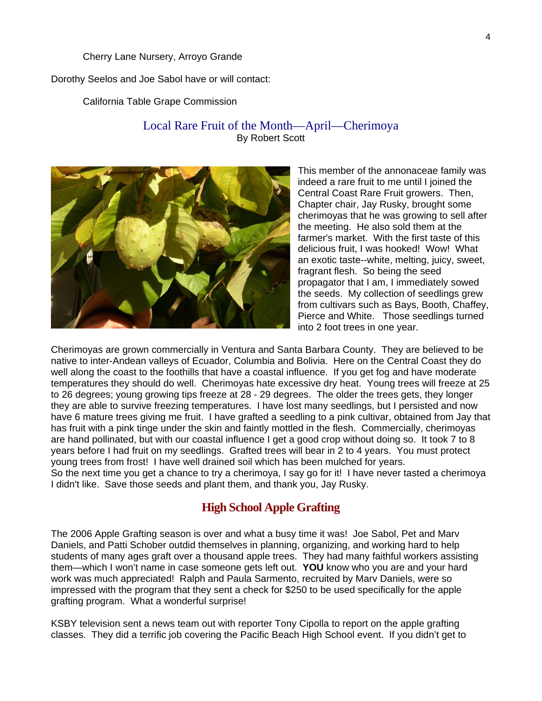#### Cherry Lane Nursery, Arroyo Grande

Dorothy Seelos and Joe Sabol have or will contact:

California Table Grape Commission

#### Local Rare Fruit of the Month—April—Cherimoya By Robert Scott



This member of the annonaceae family was indeed a rare fruit to me until I joined the Central Coast Rare Fruit growers. Then, Chapter chair, Jay Rusky, brought some cherimoyas that he was growing to sell after the meeting. He also sold them at the farmer's market. With the first taste of this delicious fruit, I was hooked! Wow! What an exotic taste--white, melting, juicy, sweet, fragrant flesh. So being the seed propagator that I am, I immediately sowed the seeds. My collection of seedlings grew from cultivars such as Bays, Booth, Chaffey, Pierce and White. Those seedlings turned into 2 foot trees in one year.

Cherimoyas are grown commercially in Ventura and Santa Barbara County. They are believed to be native to inter-Andean valleys of Ecuador, Columbia and Bolivia. Here on the Central Coast they do well along the coast to the foothills that have a coastal influence. If you get fog and have moderate temperatures they should do well. Cherimoyas hate excessive dry heat. Young trees will freeze at 25 to 26 degrees; young growing tips freeze at 28 - 29 degrees. The older the trees gets, they longer they are able to survive freezing temperatures. I have lost many seedlings, but I persisted and now have 6 mature trees giving me fruit. I have grafted a seedling to a pink cultivar, obtained from Jay that has fruit with a pink tinge under the skin and faintly mottled in the flesh. Commercially, cherimoyas are hand pollinated, but with our coastal influence I get a good crop without doing so. It took 7 to 8 years before I had fruit on my seedlings. Grafted trees will bear in 2 to 4 years. You must protect young trees from frost! I have well drained soil which has been mulched for years. So the next time you get a chance to try a cherimoya, I say go for it! I have never tasted a cherimoya I didn't like. Save those seeds and plant them, and thank you, Jay Rusky.

### **High School Apple Grafting**

The 2006 Apple Grafting season is over and what a busy time it was! Joe Sabol, Pet and Marv Daniels, and Patti Schober outdid themselves in planning, organizing, and working hard to help students of many ages graft over a thousand apple trees. They had many faithful workers assisting them—which I won't name in case someone gets left out. **YOU** know who you are and your hard work was much appreciated! Ralph and Paula Sarmento, recruited by Marv Daniels, were so impressed with the program that they sent a check for \$250 to be used specifically for the apple grafting program. What a wonderful surprise!

KSBY television sent a news team out with reporter Tony Cipolla to report on the apple grafting classes. They did a terrific job covering the Pacific Beach High School event. If you didn't get to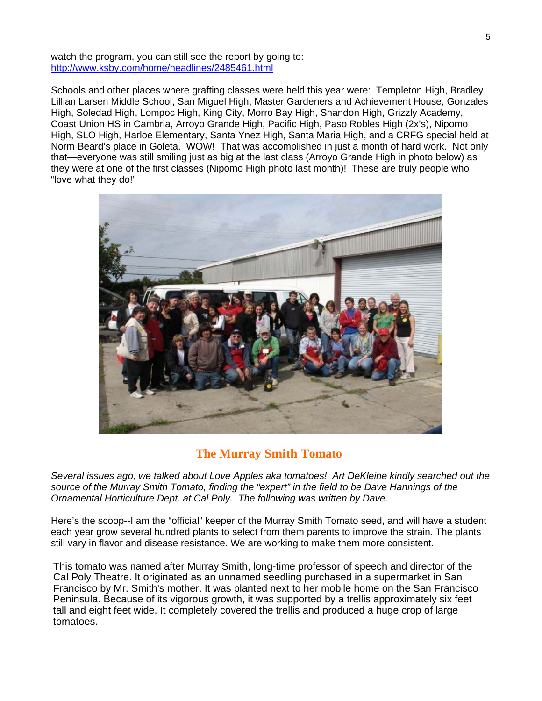watch the program, you can still see the report by going to: <http://www.ksby.com/home/headlines/2485461.html>

Schools and other places where grafting classes were held this year were: Templeton High, Bradley Lillian Larsen Middle School, San Miguel High, Master Gardeners and Achievement House, Gonzales High, Soledad High, Lompoc High, King City, Morro Bay High, Shandon High, Grizzly Academy, Coast Union HS in Cambria, Arroyo Grande High, Pacific High, Paso Robles High (2x's), Nipomo High, SLO High, Harloe Elementary, Santa Ynez High, Santa Maria High, and a CRFG special held at Norm Beard's place in Goleta. WOW! That was accomplished in just a month of hard work. Not only that—everyone was still smiling just as big at the last class (Arroyo Grande High in photo below) as they were at one of the first classes (Nipomo High photo last month)! These are truly people who "love what they do!"



# **The Murray Smith Tomato**

*Several issues ago, we talked about Love Apples aka tomatoes! Art DeKleine kindly searched out the source of the Murray Smith Tomato, finding the "expert" in the field to be Dave Hannings of the Ornamental Horticulture Dept. at Cal Poly. The following was written by Dave.* 

Here's the scoop--I am the "official" keeper of the Murray Smith Tomato seed, and will have a student each year grow several hundred plants to select from them parents to improve the strain. The plants still vary in flavor and disease resistance. We are working to make them more consistent.

This tomato was named after Murray Smith, long-time professor of speech and director of the Cal Poly Theatre. It originated as an unnamed seedling purchased in a supermarket in San Francisco by Mr. Smith's mother. It was planted next to her mobile home on the San Francisco Peninsula. Because of its vigorous growth, it was supported by a trellis approximately six feet tall and eight feet wide. It completely covered the trellis and produced a huge crop of large tomatoes.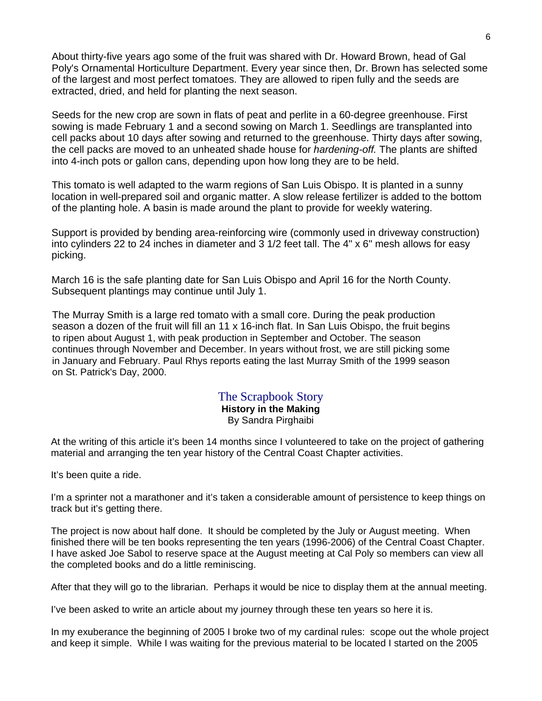About thirty-five years ago some of the fruit was shared with Dr. Howard Brown, head of Gal Poly's Ornamental Horticulture Department. Every year since then, Dr. Brown has selected some of the largest and most perfect tomatoes. They are allowed to ripen fully and the seeds are extracted, dried, and held for planting the next season.

Seeds for the new crop are sown in flats of peat and perlite in a 60-degree greenhouse. First sowing is made February 1 and a second sowing on March 1. Seedlings are transplanted into cell packs about 10 days after sowing and returned to the greenhouse. Thirty days after sowing, the cell packs are moved to an unheated shade house for *hardening-off.* The plants are shifted into 4-inch pots or gallon cans, depending upon how long they are to be held.

This tomato is well adapted to the warm regions of San Luis Obispo. It is planted in a sunny location in well-prepared soil and organic matter. A slow release fertilizer is added to the bottom of the planting hole. A basin is made around the plant to provide for weekly watering.

Support is provided by bending area-reinforcing wire (commonly used in driveway construction) into cylinders 22 to 24 inches in diameter and 3 1/2 feet tall. The 4" x 6" mesh allows for easy picking.

March 16 is the safe planting date for San Luis Obispo and April 16 for the North County. Subsequent plantings may continue until July 1.

The Murray Smith is a large red tomato with a small core. During the peak production season a dozen of the fruit will fill an 11 x 16-inch flat. In San Luis Obispo, the fruit begins to ripen about August 1, with peak production in September and October. The season continues through November and December. In years without frost, we are still picking some in January and February. Paul Rhys reports eating the last Murray Smith of the 1999 season on St. Patrick's Day, 2000.

#### The Scrapbook Story **History in the Making**  By Sandra Pirghaibi

At the writing of this article it's been 14 months since I volunteered to take on the project of gathering material and arranging the ten year history of the Central Coast Chapter activities.

It's been quite a ride.

I'm a sprinter not a marathoner and it's taken a considerable amount of persistence to keep things on track but it's getting there.

The project is now about half done. It should be completed by the July or August meeting. When finished there will be ten books representing the ten years (1996-2006) of the Central Coast Chapter. I have asked Joe Sabol to reserve space at the August meeting at Cal Poly so members can view all the completed books and do a little reminiscing.

After that they will go to the librarian. Perhaps it would be nice to display them at the annual meeting.

I've been asked to write an article about my journey through these ten years so here it is.

In my exuberance the beginning of 2005 I broke two of my cardinal rules: scope out the whole project and keep it simple. While I was waiting for the previous material to be located I started on the 2005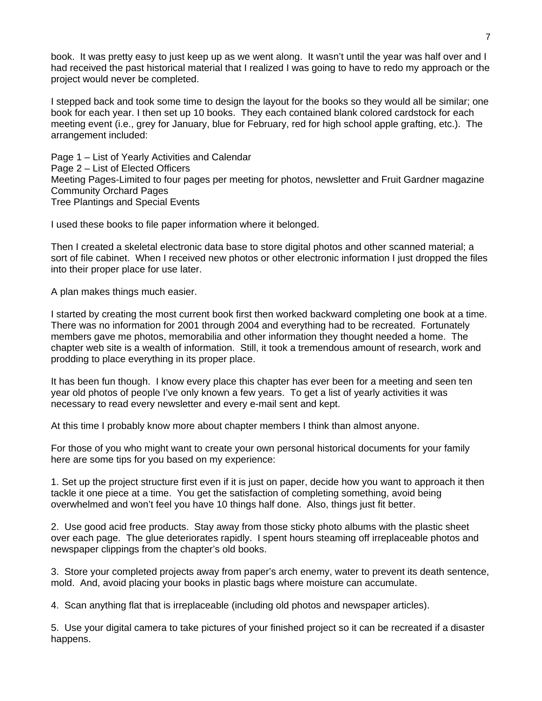book. It was pretty easy to just keep up as we went along. It wasn't until the year was half over and I had received the past historical material that I realized I was going to have to redo my approach or the project would never be completed.

I stepped back and took some time to design the layout for the books so they would all be similar; one book for each year. I then set up 10 books. They each contained blank colored cardstock for each meeting event (i.e., grey for January, blue for February, red for high school apple grafting, etc.). The arrangement included:

Page 1 – List of Yearly Activities and Calendar Page 2 – List of Elected Officers Meeting Pages-Limited to four pages per meeting for photos, newsletter and Fruit Gardner magazine Community Orchard Pages Tree Plantings and Special Events

I used these books to file paper information where it belonged.

Then I created a skeletal electronic data base to store digital photos and other scanned material; a sort of file cabinet. When I received new photos or other electronic information I just dropped the files into their proper place for use later.

A plan makes things much easier.

I started by creating the most current book first then worked backward completing one book at a time. There was no information for 2001 through 2004 and everything had to be recreated. Fortunately members gave me photos, memorabilia and other information they thought needed a home. The chapter web site is a wealth of information. Still, it took a tremendous amount of research, work and prodding to place everything in its proper place.

It has been fun though. I know every place this chapter has ever been for a meeting and seen ten year old photos of people I've only known a few years. To get a list of yearly activities it was necessary to read every newsletter and every e-mail sent and kept.

At this time I probably know more about chapter members I think than almost anyone.

For those of you who might want to create your own personal historical documents for your family here are some tips for you based on my experience:

1. Set up the project structure first even if it is just on paper, decide how you want to approach it then tackle it one piece at a time. You get the satisfaction of completing something, avoid being overwhelmed and won't feel you have 10 things half done. Also, things just fit better.

2. Use good acid free products. Stay away from those sticky photo albums with the plastic sheet over each page. The glue deteriorates rapidly. I spent hours steaming off irreplaceable photos and newspaper clippings from the chapter's old books.

3. Store your completed projects away from paper's arch enemy, water to prevent its death sentence, mold. And, avoid placing your books in plastic bags where moisture can accumulate.

4. Scan anything flat that is irreplaceable (including old photos and newspaper articles).

5. Use your digital camera to take pictures of your finished project so it can be recreated if a disaster happens.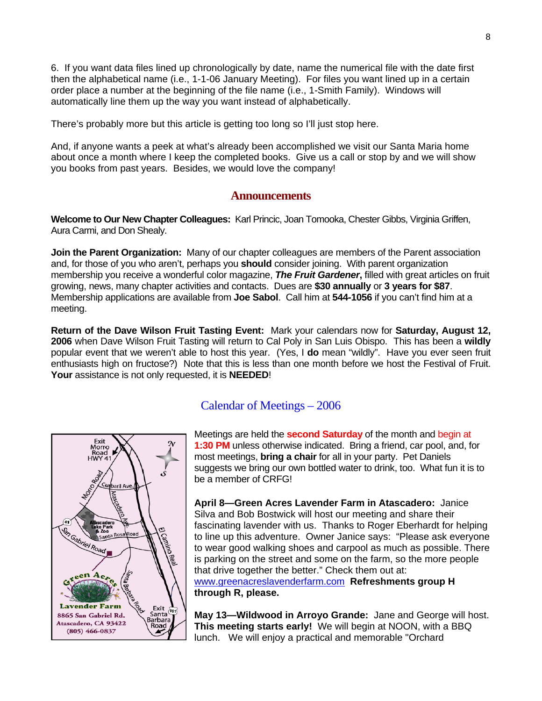6. If you want data files lined up chronologically by date, name the numerical file with the date first then the alphabetical name (i.e., 1-1-06 January Meeting). For files you want lined up in a certain order place a number at the beginning of the file name (i.e., 1-Smith Family). Windows will automatically line them up the way you want instead of alphabetically.

There's probably more but this article is getting too long so I'll just stop here.

And, if anyone wants a peek at what's already been accomplished we visit our Santa Maria home about once a month where I keep the completed books. Give us a call or stop by and we will show you books from past years. Besides, we would love the company!

#### **Announcements**

**Welcome to Our New Chapter Colleagues:** Karl Princic, Joan Tomooka, Chester Gibbs, Virginia Griffen, Aura Carmi, and Don Shealy.

**Join the Parent Organization:** Many of our chapter colleagues are members of the Parent association and, for those of you who aren't, perhaps you **should** consider joining. With parent organization membership you receive a wonderful color magazine, *The Fruit Gardener***,** filled with great articles on fruit growing, news, many chapter activities and contacts. Dues are **\$30 annually** or **3 years for \$87**. Membership applications are available from **Joe Sabol**. Call him at **544-1056** if you can't find him at a meeting.

**Return of the Dave Wilson Fruit Tasting Event:** Mark your calendars now for **Saturday, August 12, 2006** when Dave Wilson Fruit Tasting will return to Cal Poly in San Luis Obispo. This has been a **wildly** popular event that we weren't able to host this year. (Yes, I **do** mean "wildly". Have you ever seen fruit enthusiasts high on fructose?) Note that this is less than one month before we host the Festival of Fruit. **Your** assistance is not only requested, it is **NEEDED**!



# Calendar of Meetings – 2006

Meetings are held the **second Saturday** of the month and begin at **1:30 PM** unless otherwise indicated. Bring a friend, car pool, and, for most meetings, **bring a chair** for all in your party. Pet Daniels suggests we bring our own bottled water to drink, too. What fun it is to be a member of CRFG!

**April 8—Green Acres Lavender Farm in Atascadero:** Janice Silva and Bob Bostwick will host our meeting and share their fascinating lavender with us. Thanks to Roger Eberhardt for helping to line up this adventure. Owner Janice says: "Please ask everyone to wear good walking shoes and carpool as much as possible. There is parking on the street and some on the farm, so the more people that drive together the better." Check them out at: [www.greenacreslavenderfarm.com](http://www.greenacreslavenderfarm.com/) **Refreshments group H through R, please.** 

**May 13—Wildwood in Arroyo Grande:** Jane and George will host. **This meeting starts early!** We will begin at NOON, with a BBQ lunch. We will enjoy a practical and memorable "Orchard